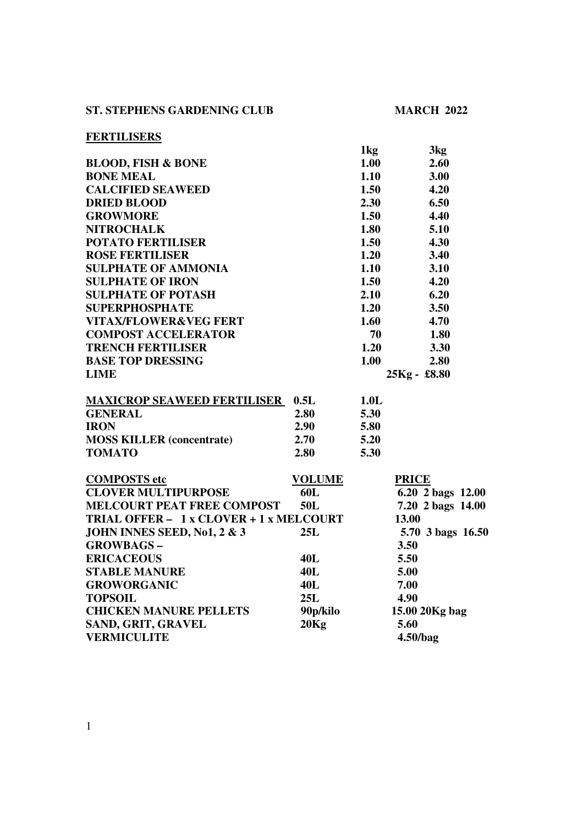## **ST. STEPHENS GARDENING CLUB MARCH 2022**

## **FERTILISERS**

| <u>FERTILIDENS</u>                      |               |        |                   |
|-----------------------------------------|---------------|--------|-------------------|
|                                         |               | 1kg    | 3kg               |
| <b>BLOOD, FISH &amp; BONE</b>           |               | 1.00   | 2.60              |
| <b>BONE MEAL</b>                        |               | 1.10   | 3.00              |
| <b>CALCIFIED SEAWEED</b>                |               | 1.50   | 4.20              |
| <b>DRIED BLOOD</b>                      |               | 2.30   | 6.50              |
| <b>GROWMORE</b>                         |               | 1.50   | 4.40              |
| <b>NITROCHALK</b>                       |               | 1.80   | 5.10              |
| <b>POTATO FERTILISER</b>                |               | 1.50   | 4.30              |
| <b>ROSE FERTILISER</b>                  |               | 1.20   | 3.40              |
| <b>SULPHATE OF AMMONIA</b>              |               | 1.10   | 3.10              |
| <b>SULPHATE OF IRON</b>                 |               | 1.50   | 4.20              |
| <b>SULPHATE OF POTASH</b>               |               | 2.10   | 6.20              |
| <b>SUPERPHOSPHATE</b>                   |               | $1.20$ | 3.50              |
| <b>VITAX/FLOWER&amp;VEG FERT</b>        |               | 1.60   | 4.70              |
| <b>COMPOST ACCELERATOR</b>              |               | 70     | 1.80              |
| <b>TRENCH FERTILISER</b>                |               | 1.20   | 3.30              |
| <b>BASE TOP DRESSING</b>                |               | 1.00   | 2.80              |
| <b>LIME</b>                             |               |        | 25Kg - £8.80      |
|                                         |               |        |                   |
| <b>MAXICROP SEAWEED FERTILISER</b>      | 0.5L          | 1.0L   |                   |
| <b>GENERAL</b>                          | 2.80          | 5.30   |                   |
| <b>IRON</b>                             | 2.90          | 5.80   |                   |
| <b>MOSS KILLER (concentrate)</b>        | 2.70          | 5.20   |                   |
| <b>TOMATO</b>                           | 2.80          | 5.30   |                   |
|                                         |               |        |                   |
| <b>COMPOSTS</b> etc                     | <b>VOLUME</b> |        | <b>PRICE</b>      |
| <b>CLOVER MULTIPURPOSE</b>              | 60L           |        | 6.20 2 bags 12.00 |
| <b>MELCOURT PEAT FREE COMPOST</b>       | 50L           |        | 7.20 2 bags 14.00 |
| TRIAL OFFER - 1 x CLOVER + 1 x MELCOURT |               |        | 13.00             |
| <b>JOHN INNES SEED, No1, 2 &amp; 3</b>  | 25L           |        | 5.70 3 bags 16.50 |
| <b>GROWBAGS-</b>                        |               |        | 3.50              |
| <b>ERICACEOUS</b>                       | 40L           |        | 5.50              |
| <b>STABLE MANURE</b>                    | <b>40L</b>    |        | 5.00              |
| <b>GROWORGANIC</b>                      | <b>40L</b>    |        | 7.00              |
| <b>TOPSOIL</b>                          | 25L           |        | 4.90              |
| <b>CHICKEN MANURE PELLETS</b>           | 90p/kilo      |        | 15.00 20Kg bag    |
| <b>SAND, GRIT, GRAVEL</b>               | 20Kg          |        | 5.60              |
| <b>VERMICULITE</b>                      |               |        | 4.50/bag          |
|                                         |               |        |                   |